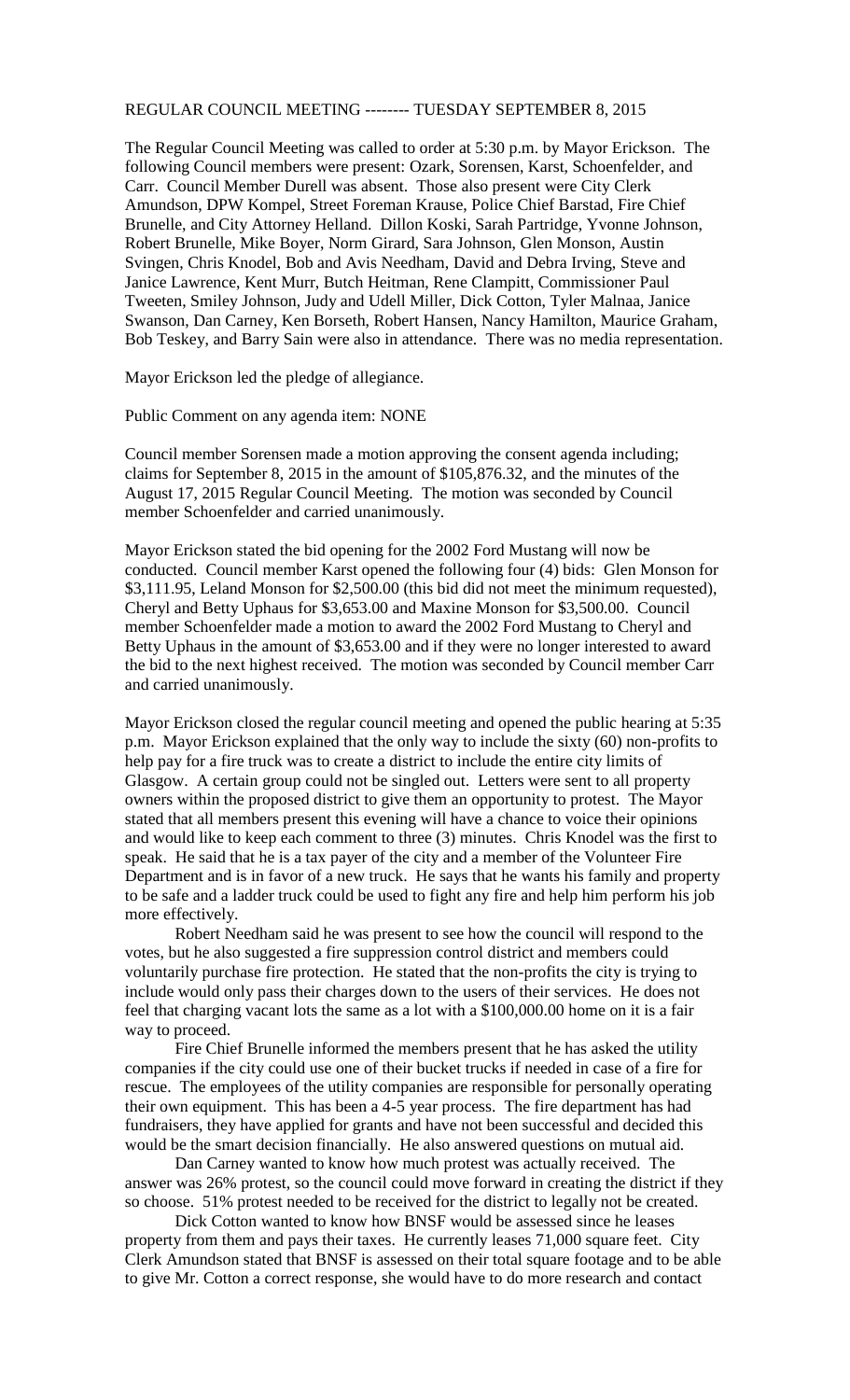## REGULAR COUNCIL MEETING -------- TUESDAY SEPTEMBER 8, 2015

The Regular Council Meeting was called to order at 5:30 p.m. by Mayor Erickson. The following Council members were present: Ozark, Sorensen, Karst, Schoenfelder, and Carr. Council Member Durell was absent. Those also present were City Clerk Amundson, DPW Kompel, Street Foreman Krause, Police Chief Barstad, Fire Chief Brunelle, and City Attorney Helland. Dillon Koski, Sarah Partridge, Yvonne Johnson, Robert Brunelle, Mike Boyer, Norm Girard, Sara Johnson, Glen Monson, Austin Svingen, Chris Knodel, Bob and Avis Needham, David and Debra Irving, Steve and Janice Lawrence, Kent Murr, Butch Heitman, Rene Clampitt, Commissioner Paul Tweeten, Smiley Johnson, Judy and Udell Miller, Dick Cotton, Tyler Malnaa, Janice Swanson, Dan Carney, Ken Borseth, Robert Hansen, Nancy Hamilton, Maurice Graham, Bob Teskey, and Barry Sain were also in attendance. There was no media representation.

Mayor Erickson led the pledge of allegiance.

Public Comment on any agenda item: NONE

Council member Sorensen made a motion approving the consent agenda including; claims for September 8, 2015 in the amount of \$105,876.32, and the minutes of the August 17, 2015 Regular Council Meeting. The motion was seconded by Council member Schoenfelder and carried unanimously.

Mayor Erickson stated the bid opening for the 2002 Ford Mustang will now be conducted. Council member Karst opened the following four (4) bids: Glen Monson for \$3,111.95, Leland Monson for \$2,500.00 (this bid did not meet the minimum requested), Cheryl and Betty Uphaus for \$3,653.00 and Maxine Monson for \$3,500.00. Council member Schoenfelder made a motion to award the 2002 Ford Mustang to Cheryl and Betty Uphaus in the amount of \$3,653.00 and if they were no longer interested to award the bid to the next highest received. The motion was seconded by Council member Carr and carried unanimously.

Mayor Erickson closed the regular council meeting and opened the public hearing at 5:35 p.m. Mayor Erickson explained that the only way to include the sixty (60) non-profits to help pay for a fire truck was to create a district to include the entire city limits of Glasgow. A certain group could not be singled out. Letters were sent to all property owners within the proposed district to give them an opportunity to protest. The Mayor stated that all members present this evening will have a chance to voice their opinions and would like to keep each comment to three (3) minutes. Chris Knodel was the first to speak. He said that he is a tax payer of the city and a member of the Volunteer Fire Department and is in favor of a new truck. He says that he wants his family and property to be safe and a ladder truck could be used to fight any fire and help him perform his job more effectively.

Robert Needham said he was present to see how the council will respond to the votes, but he also suggested a fire suppression control district and members could voluntarily purchase fire protection. He stated that the non-profits the city is trying to include would only pass their charges down to the users of their services. He does not feel that charging vacant lots the same as a lot with a \$100,000.00 home on it is a fair way to proceed.

Fire Chief Brunelle informed the members present that he has asked the utility companies if the city could use one of their bucket trucks if needed in case of a fire for rescue. The employees of the utility companies are responsible for personally operating their own equipment. This has been a 4-5 year process. The fire department has had fundraisers, they have applied for grants and have not been successful and decided this would be the smart decision financially. He also answered questions on mutual aid.

Dan Carney wanted to know how much protest was actually received. The answer was 26% protest, so the council could move forward in creating the district if they so choose. 51% protest needed to be received for the district to legally not be created.

Dick Cotton wanted to know how BNSF would be assessed since he leases property from them and pays their taxes. He currently leases 71,000 square feet. City Clerk Amundson stated that BNSF is assessed on their total square footage and to be able to give Mr. Cotton a correct response, she would have to do more research and contact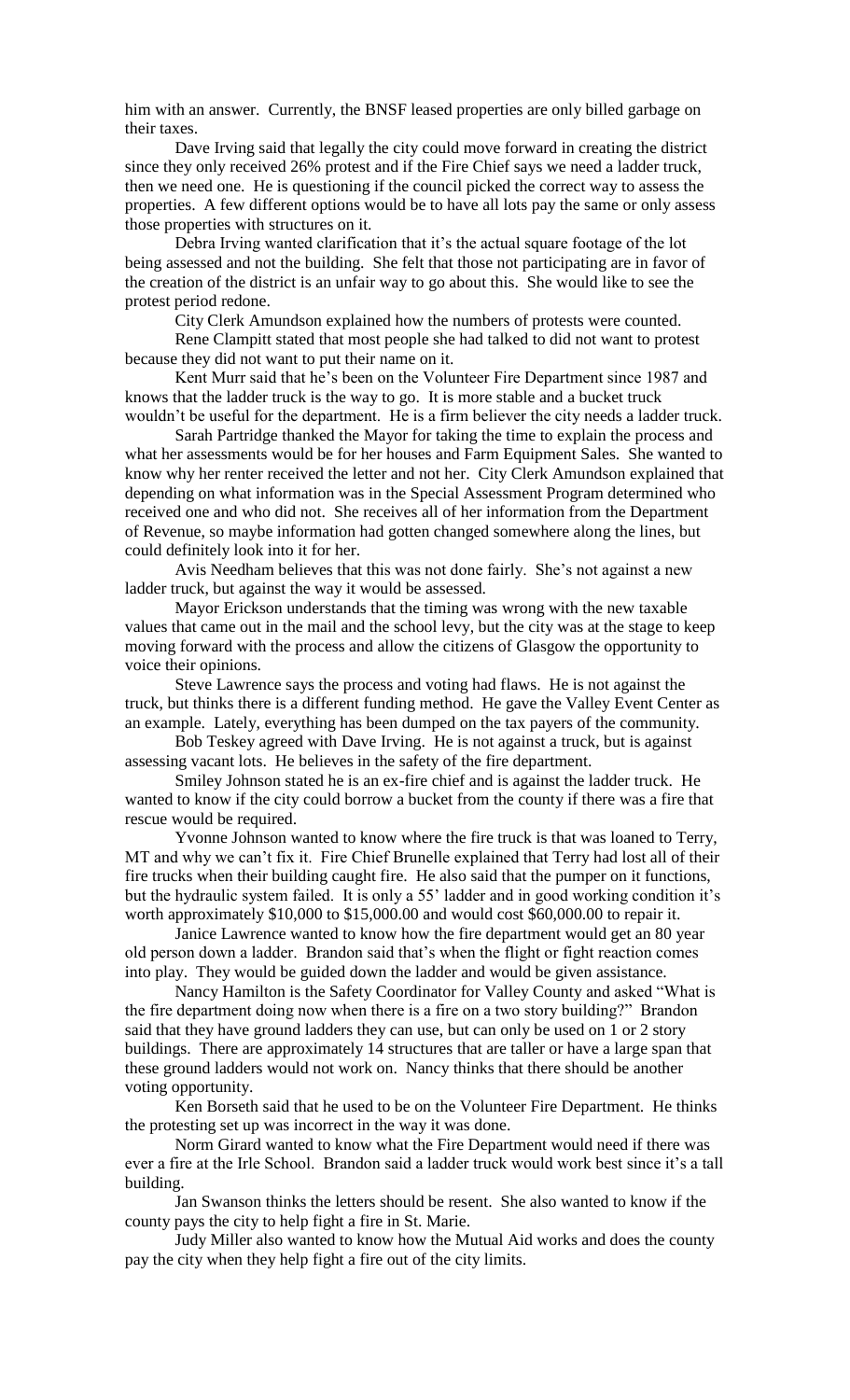him with an answer. Currently, the BNSF leased properties are only billed garbage on their taxes.

Dave Irving said that legally the city could move forward in creating the district since they only received 26% protest and if the Fire Chief says we need a ladder truck, then we need one. He is questioning if the council picked the correct way to assess the properties. A few different options would be to have all lots pay the same or only assess those properties with structures on it.

Debra Irving wanted clarification that it's the actual square footage of the lot being assessed and not the building. She felt that those not participating are in favor of the creation of the district is an unfair way to go about this. She would like to see the protest period redone.

City Clerk Amundson explained how the numbers of protests were counted.

Rene Clampitt stated that most people she had talked to did not want to protest because they did not want to put their name on it.

Kent Murr said that he's been on the Volunteer Fire Department since 1987 and knows that the ladder truck is the way to go. It is more stable and a bucket truck wouldn't be useful for the department. He is a firm believer the city needs a ladder truck.

Sarah Partridge thanked the Mayor for taking the time to explain the process and what her assessments would be for her houses and Farm Equipment Sales. She wanted to know why her renter received the letter and not her. City Clerk Amundson explained that depending on what information was in the Special Assessment Program determined who received one and who did not. She receives all of her information from the Department of Revenue, so maybe information had gotten changed somewhere along the lines, but could definitely look into it for her.

Avis Needham believes that this was not done fairly. She's not against a new ladder truck, but against the way it would be assessed.

Mayor Erickson understands that the timing was wrong with the new taxable values that came out in the mail and the school levy, but the city was at the stage to keep moving forward with the process and allow the citizens of Glasgow the opportunity to voice their opinions.

Steve Lawrence says the process and voting had flaws. He is not against the truck, but thinks there is a different funding method. He gave the Valley Event Center as an example. Lately, everything has been dumped on the tax payers of the community.

Bob Teskey agreed with Dave Irving. He is not against a truck, but is against assessing vacant lots. He believes in the safety of the fire department.

Smiley Johnson stated he is an ex-fire chief and is against the ladder truck. He wanted to know if the city could borrow a bucket from the county if there was a fire that rescue would be required.

Yvonne Johnson wanted to know where the fire truck is that was loaned to Terry, MT and why we can't fix it. Fire Chief Brunelle explained that Terry had lost all of their fire trucks when their building caught fire. He also said that the pumper on it functions, but the hydraulic system failed. It is only a 55' ladder and in good working condition it's worth approximately \$10,000 to \$15,000.00 and would cost \$60,000.00 to repair it.

Janice Lawrence wanted to know how the fire department would get an 80 year old person down a ladder. Brandon said that's when the flight or fight reaction comes into play. They would be guided down the ladder and would be given assistance.

Nancy Hamilton is the Safety Coordinator for Valley County and asked "What is the fire department doing now when there is a fire on a two story building?" Brandon said that they have ground ladders they can use, but can only be used on 1 or 2 story buildings. There are approximately 14 structures that are taller or have a large span that these ground ladders would not work on. Nancy thinks that there should be another voting opportunity.

Ken Borseth said that he used to be on the Volunteer Fire Department. He thinks the protesting set up was incorrect in the way it was done.

Norm Girard wanted to know what the Fire Department would need if there was ever a fire at the Irle School. Brandon said a ladder truck would work best since it's a tall building.

Jan Swanson thinks the letters should be resent. She also wanted to know if the county pays the city to help fight a fire in St. Marie.

Judy Miller also wanted to know how the Mutual Aid works and does the county pay the city when they help fight a fire out of the city limits.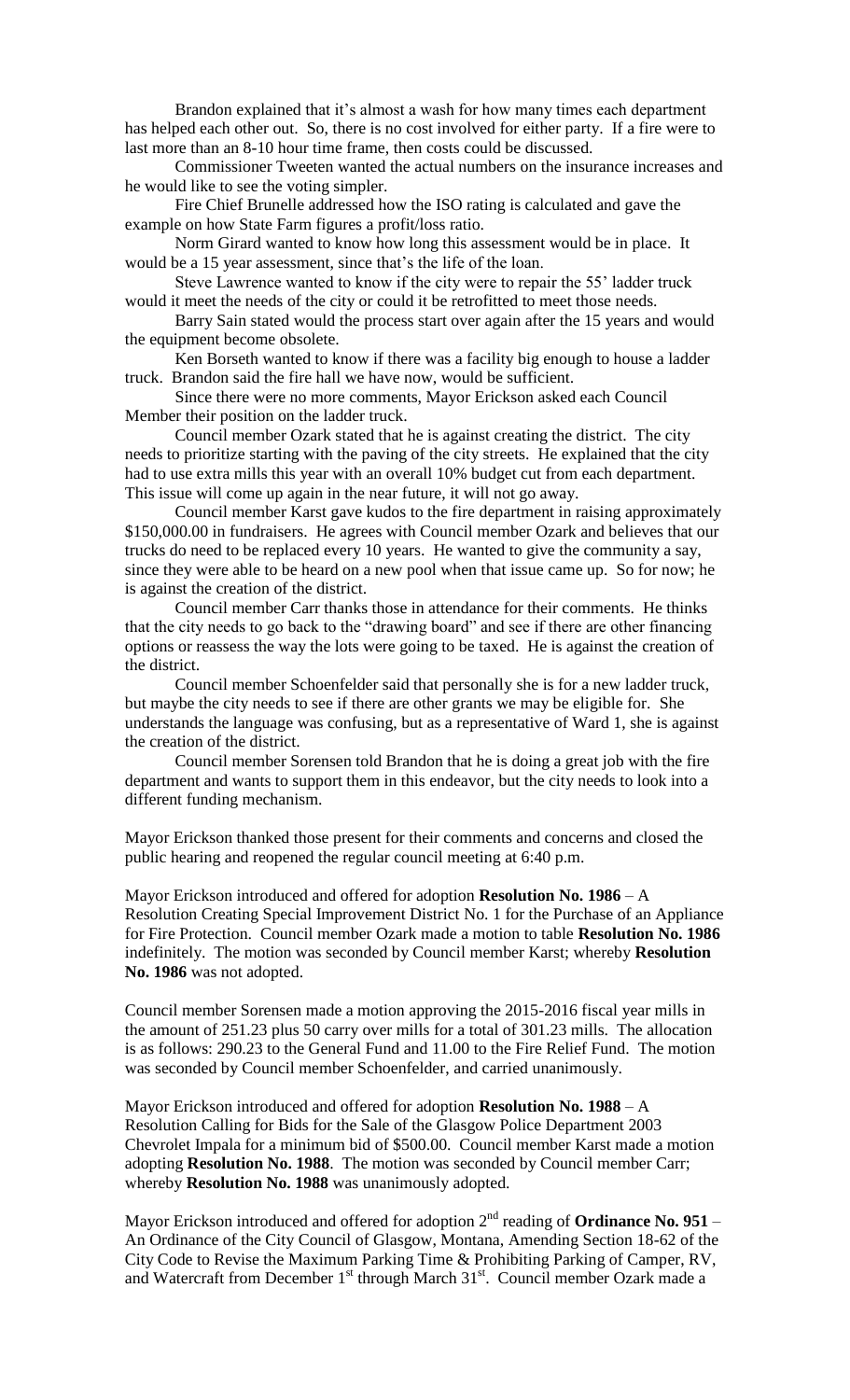Brandon explained that it's almost a wash for how many times each department has helped each other out. So, there is no cost involved for either party. If a fire were to last more than an 8-10 hour time frame, then costs could be discussed.

Commissioner Tweeten wanted the actual numbers on the insurance increases and he would like to see the voting simpler.

Fire Chief Brunelle addressed how the ISO rating is calculated and gave the example on how State Farm figures a profit/loss ratio.

Norm Girard wanted to know how long this assessment would be in place. It would be a 15 year assessment, since that's the life of the loan.

Steve Lawrence wanted to know if the city were to repair the 55' ladder truck would it meet the needs of the city or could it be retrofitted to meet those needs.

Barry Sain stated would the process start over again after the 15 years and would the equipment become obsolete.

Ken Borseth wanted to know if there was a facility big enough to house a ladder truck. Brandon said the fire hall we have now, would be sufficient.

Since there were no more comments, Mayor Erickson asked each Council Member their position on the ladder truck.

Council member Ozark stated that he is against creating the district. The city needs to prioritize starting with the paving of the city streets. He explained that the city had to use extra mills this year with an overall 10% budget cut from each department. This issue will come up again in the near future, it will not go away.

Council member Karst gave kudos to the fire department in raising approximately \$150,000.00 in fundraisers. He agrees with Council member Ozark and believes that our trucks do need to be replaced every 10 years. He wanted to give the community a say, since they were able to be heard on a new pool when that issue came up. So for now; he is against the creation of the district.

Council member Carr thanks those in attendance for their comments. He thinks that the city needs to go back to the "drawing board" and see if there are other financing options or reassess the way the lots were going to be taxed. He is against the creation of the district.

Council member Schoenfelder said that personally she is for a new ladder truck, but maybe the city needs to see if there are other grants we may be eligible for. She understands the language was confusing, but as a representative of Ward 1, she is against the creation of the district.

Council member Sorensen told Brandon that he is doing a great job with the fire department and wants to support them in this endeavor, but the city needs to look into a different funding mechanism.

Mayor Erickson thanked those present for their comments and concerns and closed the public hearing and reopened the regular council meeting at 6:40 p.m.

Mayor Erickson introduced and offered for adoption **Resolution No. 1986** – A Resolution Creating Special Improvement District No. 1 for the Purchase of an Appliance for Fire Protection. Council member Ozark made a motion to table **Resolution No. 1986**  indefinitely. The motion was seconded by Council member Karst; whereby **Resolution No. 1986** was not adopted.

Council member Sorensen made a motion approving the 2015-2016 fiscal year mills in the amount of 251.23 plus 50 carry over mills for a total of 301.23 mills. The allocation is as follows: 290.23 to the General Fund and 11.00 to the Fire Relief Fund. The motion was seconded by Council member Schoenfelder, and carried unanimously.

Mayor Erickson introduced and offered for adoption **Resolution No. 1988** – A Resolution Calling for Bids for the Sale of the Glasgow Police Department 2003 Chevrolet Impala for a minimum bid of \$500.00. Council member Karst made a motion adopting **Resolution No. 1988**. The motion was seconded by Council member Carr; whereby **Resolution No. 1988** was unanimously adopted.

Mayor Erickson introduced and offered for adoption 2<sup>nd</sup> reading of **Ordinance No. 951** – An Ordinance of the City Council of Glasgow, Montana, Amending Section 18-62 of the City Code to Revise the Maximum Parking Time & Prohibiting Parking of Camper, RV, and Watercraft from December 1<sup>st</sup> through March 31<sup>st</sup>. Council member Ozark made a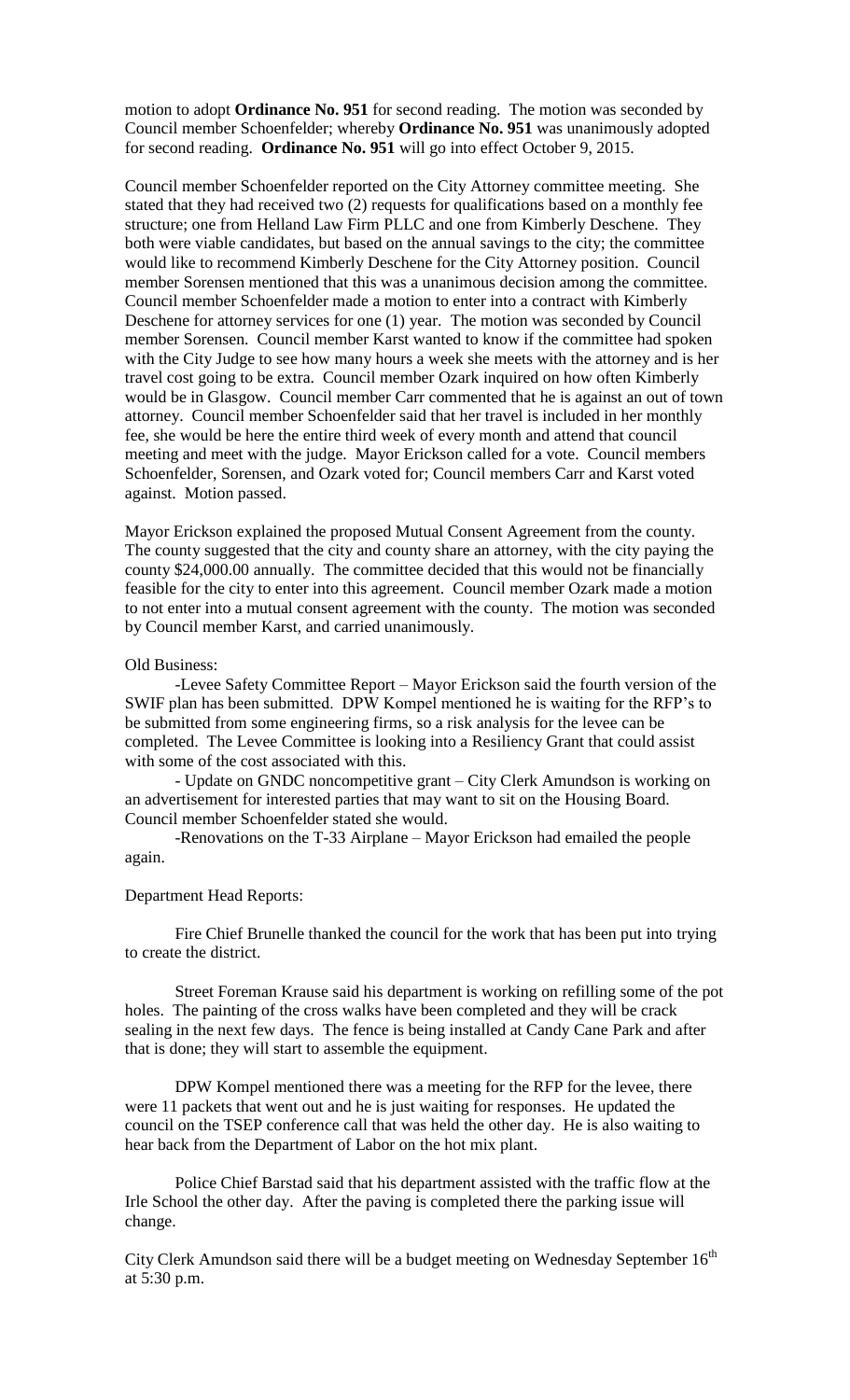motion to adopt **Ordinance No. 951** for second reading. The motion was seconded by Council member Schoenfelder; whereby **Ordinance No. 951** was unanimously adopted for second reading. **Ordinance No. 951** will go into effect October 9, 2015.

Council member Schoenfelder reported on the City Attorney committee meeting. She stated that they had received two (2) requests for qualifications based on a monthly fee structure; one from Helland Law Firm PLLC and one from Kimberly Deschene. They both were viable candidates, but based on the annual savings to the city; the committee would like to recommend Kimberly Deschene for the City Attorney position. Council member Sorensen mentioned that this was a unanimous decision among the committee. Council member Schoenfelder made a motion to enter into a contract with Kimberly Deschene for attorney services for one (1) year. The motion was seconded by Council member Sorensen. Council member Karst wanted to know if the committee had spoken with the City Judge to see how many hours a week she meets with the attorney and is her travel cost going to be extra. Council member Ozark inquired on how often Kimberly would be in Glasgow. Council member Carr commented that he is against an out of town attorney. Council member Schoenfelder said that her travel is included in her monthly fee, she would be here the entire third week of every month and attend that council meeting and meet with the judge. Mayor Erickson called for a vote. Council members Schoenfelder, Sorensen, and Ozark voted for; Council members Carr and Karst voted against. Motion passed.

Mayor Erickson explained the proposed Mutual Consent Agreement from the county. The county suggested that the city and county share an attorney, with the city paying the county \$24,000.00 annually. The committee decided that this would not be financially feasible for the city to enter into this agreement. Council member Ozark made a motion to not enter into a mutual consent agreement with the county. The motion was seconded by Council member Karst, and carried unanimously.

## Old Business:

-Levee Safety Committee Report – Mayor Erickson said the fourth version of the SWIF plan has been submitted. DPW Kompel mentioned he is waiting for the RFP's to be submitted from some engineering firms, so a risk analysis for the levee can be completed. The Levee Committee is looking into a Resiliency Grant that could assist with some of the cost associated with this.

- Update on GNDC noncompetitive grant – City Clerk Amundson is working on an advertisement for interested parties that may want to sit on the Housing Board. Council member Schoenfelder stated she would.

-Renovations on the T-33 Airplane – Mayor Erickson had emailed the people again.

## Department Head Reports:

Fire Chief Brunelle thanked the council for the work that has been put into trying to create the district.

Street Foreman Krause said his department is working on refilling some of the pot holes. The painting of the cross walks have been completed and they will be crack sealing in the next few days. The fence is being installed at Candy Cane Park and after that is done; they will start to assemble the equipment.

DPW Kompel mentioned there was a meeting for the RFP for the levee, there were 11 packets that went out and he is just waiting for responses. He updated the council on the TSEP conference call that was held the other day. He is also waiting to hear back from the Department of Labor on the hot mix plant.

Police Chief Barstad said that his department assisted with the traffic flow at the Irle School the other day. After the paving is completed there the parking issue will change.

City Clerk Amundson said there will be a budget meeting on Wednesday September  $16<sup>th</sup>$ at 5:30 p.m.